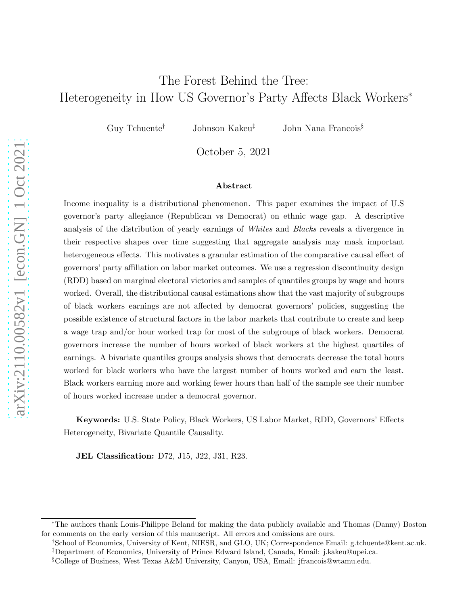# The Forest Behind the Tree: Heterogeneity in How US Governor's Party Affects Black Workers<sup>∗</sup>

Guy Tchuente<sup>†</sup> Johnson Kakeu<sup>‡</sup> John Nana Francois<sup>§</sup>

October 5, 2021

#### Abstract

Income inequality is a distributional phenomenon. This paper examines the impact of U.S governor's party allegiance (Republican vs Democrat) on ethnic wage gap. A descriptive analysis of the distribution of yearly earnings of Whites and Blacks reveals a divergence in their respective shapes over time suggesting that aggregate analysis may mask important heterogeneous effects. This motivates a granular estimation of the comparative causal effect of governors' party affiliation on labor market outcomes. We use a regression discontinuity design (RDD) based on marginal electoral victories and samples of quantiles groups by wage and hours worked. Overall, the distributional causal estimations show that the vast majority of subgroups of black workers earnings are not affected by democrat governors' policies, suggesting the possible existence of structural factors in the labor markets that contribute to create and keep a wage trap and/or hour worked trap for most of the subgroups of black workers. Democrat governors increase the number of hours worked of black workers at the highest quartiles of earnings. A bivariate quantiles groups analysis shows that democrats decrease the total hours worked for black workers who have the largest number of hours worked and earn the least. Black workers earning more and working fewer hours than half of the sample see their number of hours worked increase under a democrat governor.

Keywords: U.S. State Policy, Black Workers, US Labor Market, RDD, Governors' Effects Heterogeneity, Bivariate Quantile Causality.

JEL Classification: D72, J15, J22, J31, R23.

<sup>∗</sup>The authors thank Louis-Philippe Beland for making the data publicly available and Thomas (Danny) Boston for comments on the early version of this manuscript. All errors and omissions are ours.

<sup>†</sup>School of Economics, University of Kent, NIESR, and GLO, UK; Correspondence Email: g.tchuente@kent.ac.uk. ‡Department of Economics, University of Prince Edward Island, Canada, Email: j.kakeu@upei.ca.

<sup>§</sup>College of Business, West Texas A&M University, Canyon, USA, Email: jfrancois@wtamu.edu.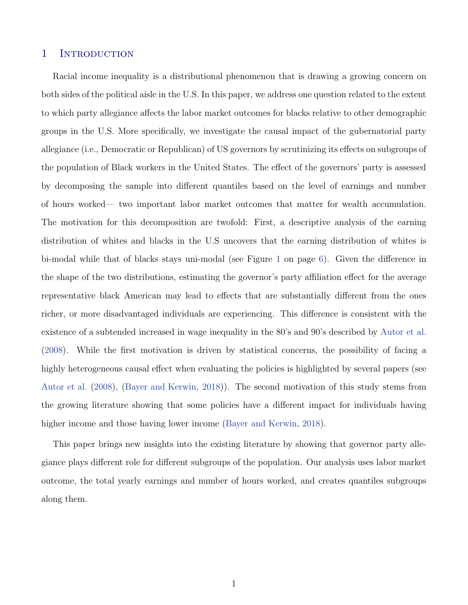### 1 INTRODUCTION

Racial income inequality is a distributional phenomenon that is drawing a growing concern on both sides of the political aisle in the U.S. In this paper, we address one question related to the extent to which party allegiance affects the labor market outcomes for blacks relative to other demographic groups in the U.S. More specifically, we investigate the causal impact of the gubernatorial party allegiance (i.e., Democratic or Republican) of US governors by scrutinizing its effects on subgroups of the population of Black workers in the United States. The effect of the governors' party is assessed by decomposing the sample into different quantiles based on the level of earnings and number of hours worked— two important labor market outcomes that matter for wealth accumulation. The motivation for this decomposition are twofold: First, a descriptive analysis of the earning distribution of whites and blacks in the U.S uncovers that the earning distribution of whites is bi-modal while that of blacks stays uni-modal (see Figure [1](#page-6-0) on page [6\)](#page-6-0). Given the difference in the shape of the two distributions, estimating the governor's party affiliation effect for the average representative black American may lead to effects that are substantially different from the ones richer, or more disadvantaged individuals are experiencing. This difference is consistent with the existence of a subtended increased in wage inequality in the 80's and 90's described by [Autor et al.](#page-18-0) [\(2008\)](#page-18-0). While the first motivation is driven by statistical concerns, the possibility of facing a highly heterogeneous causal effect when evaluating the policies is highlighted by several papers (see [Autor et al.](#page-18-0) [\(2008\)](#page-18-0), [\(Bayer and Kerwin,](#page-18-1) [2018](#page-18-1))). The second motivation of this study stems from the growing literature showing that some policies have a different impact for individuals having higher income and those having lower income [\(Bayer and Kerwin](#page-18-1), [2018](#page-18-1)).

This paper brings new insights into the existing literature by showing that governor party allegiance plays different role for different subgroups of the population. Our analysis uses labor market outcome, the total yearly earnings and number of hours worked, and creates quantiles subgroups along them.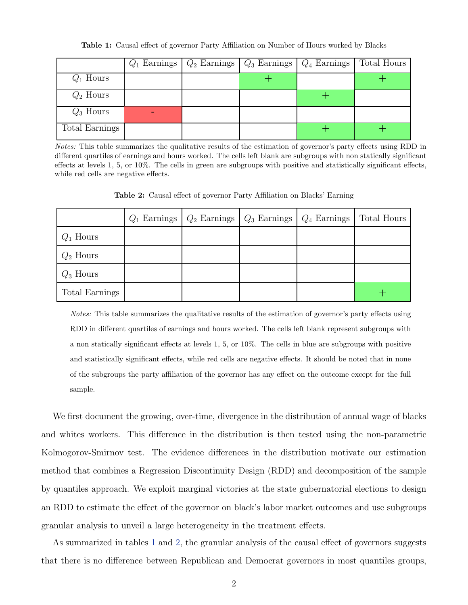Table 1: Causal effect of governor Party Affiliation on Number of Hours worked by Blacks

<span id="page-2-0"></span>

|                | $Q_1$ Earnings | $Q_2$ Earnings | $Q_3$ Earnings | $Q_4$ Earnings | Total Hours |
|----------------|----------------|----------------|----------------|----------------|-------------|
| $Q_1$ Hours    |                |                |                |                |             |
| $Q_2$ Hours    |                |                |                |                |             |
| $Q_3$ Hours    |                |                |                |                |             |
| Total Earnings |                |                |                |                |             |

<span id="page-2-1"></span>Notes: This table summarizes the qualitative results of the estimation of governor's party effects using RDD in different quartiles of earnings and hours worked. The cells left blank are subgroups with non statically significant effects at levels 1, 5, or 10%. The cells in green are subgroups with positive and statistically significant effects, while red cells are negative effects.

Table 2: Causal effect of governor Party Affiliation on Blacks' Earning

|                |  | $Q_1$ Earnings   $Q_2$ Earnings   $Q_3$ Earnings   $Q_4$ Earnings | Total Hours |
|----------------|--|-------------------------------------------------------------------|-------------|
| $Q_1$ Hours    |  |                                                                   |             |
| $Q_2$ Hours    |  |                                                                   |             |
| $Q_3$ Hours    |  |                                                                   |             |
| Total Earnings |  |                                                                   |             |

Notes: This table summarizes the qualitative results of the estimation of governor's party effects using RDD in different quartiles of earnings and hours worked. The cells left blank represent subgroups with a non statically significant effects at levels 1, 5, or 10%. The cells in blue are subgroups with positive and statistically significant effects, while red cells are negative effects. It should be noted that in none of the subgroups the party affiliation of the governor has any effect on the outcome except for the full sample.

We first document the growing, over-time, divergence in the distribution of annual wage of blacks and whites workers. This difference in the distribution is then tested using the non-parametric Kolmogorov-Smirnov test. The evidence differences in the distribution motivate our estimation method that combines a Regression Discontinuity Design (RDD) and decomposition of the sample by quantiles approach. We exploit marginal victories at the state gubernatorial elections to design an RDD to estimate the effect of the governor on black's labor market outcomes and use subgroups granular analysis to unveil a large heterogeneity in the treatment effects.

As summarized in tables [1](#page-2-0) and [2,](#page-2-1) the granular analysis of the causal effect of governors suggests that there is no difference between Republican and Democrat governors in most quantiles groups,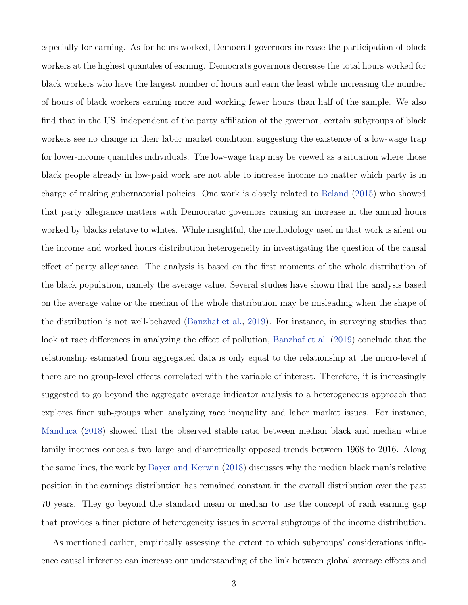especially for earning. As for hours worked, Democrat governors increase the participation of black workers at the highest quantiles of earning. Democrats governors decrease the total hours worked for black workers who have the largest number of hours and earn the least while increasing the number of hours of black workers earning more and working fewer hours than half of the sample. We also find that in the US, independent of the party affiliation of the governor, certain subgroups of black workers see no change in their labor market condition, suggesting the existence of a low-wage trap for lower-income quantiles individuals. The low-wage trap may be viewed as a situation where those black people already in low-paid work are not able to increase income no matter which party is in charge of making gubernatorial policies. One work is closely related to [Beland](#page-18-2) [\(2015](#page-18-2)) who showed that party allegiance matters with Democratic governors causing an increase in the annual hours worked by blacks relative to whites. While insightful, the methodology used in that work is silent on the income and worked hours distribution heterogeneity in investigating the question of the causal effect of party allegiance. The analysis is based on the first moments of the whole distribution of the black population, namely the average value. Several studies have shown that the analysis based on the average value or the median of the whole distribution may be misleading when the shape of the distribution is not well-behaved [\(Banzhaf et al.,](#page-18-3) [2019\)](#page-18-3). For instance, in surveying studies that look at race differences in analyzing the effect of pollution, [Banzhaf et al.](#page-18-3) [\(2019](#page-18-3)) conclude that the relationship estimated from aggregated data is only equal to the relationship at the micro-level if there are no group-level effects correlated with the variable of interest. Therefore, it is increasingly suggested to go beyond the aggregate average indicator analysis to a heterogeneous approach that explores finer sub-groups when analyzing race inequality and labor market issues. For instance, [Manduca](#page-20-0) [\(2018\)](#page-20-0) showed that the observed stable ratio between median black and median white family incomes conceals two large and diametrically opposed trends between 1968 to 2016. Along the same lines, the work by [Bayer and Kerwin](#page-18-1) [\(2018](#page-18-1)) discusses why the median black man's relative position in the earnings distribution has remained constant in the overall distribution over the past 70 years. They go beyond the standard mean or median to use the concept of rank earning gap that provides a finer picture of heterogeneity issues in several subgroups of the income distribution.

As mentioned earlier, empirically assessing the extent to which subgroups' considerations influence causal inference can increase our understanding of the link between global average effects and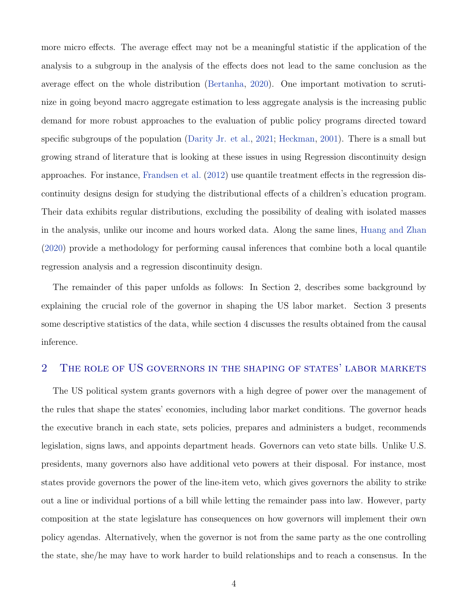more micro effects. The average effect may not be a meaningful statistic if the application of the analysis to a subgroup in the analysis of the effects does not lead to the same conclusion as the average effect on the whole distribution [\(Bertanha](#page-18-4), [2020](#page-18-4)). One important motivation to scrutinize in going beyond macro aggregate estimation to less aggregate analysis is the increasing public demand for more robust approaches to the evaluation of public policy programs directed toward specific subgroups of the population [\(Darity Jr. et al.,](#page-19-0) [2021](#page-19-0); [Heckman](#page-19-1), [2001\)](#page-19-1). There is a small but growing strand of literature that is looking at these issues in using Regression discontinuity design approaches. For instance, [Frandsen et al.](#page-19-2) [\(2012](#page-19-2)) use quantile treatment effects in the regression discontinuity designs design for studying the distributional effects of a children's education program. Their data exhibits regular distributions, excluding the possibility of dealing with isolated masses in the analysis, unlike our income and hours worked data. Along the same lines, [Huang and Zhan](#page-19-3) [\(2020\)](#page-19-3) provide a methodology for performing causal inferences that combine both a local quantile regression analysis and a regression discontinuity design.

The remainder of this paper unfolds as follows: In Section 2, describes some background by explaining the crucial role of the governor in shaping the US labor market. Section 3 presents some descriptive statistics of the data, while section 4 discusses the results obtained from the causal inference.

### 2 The role of US governors in the shaping of states' labor markets

The US political system grants governors with a high degree of power over the management of the rules that shape the states' economies, including labor market conditions. The governor heads the executive branch in each state, sets policies, prepares and administers a budget, recommends legislation, signs laws, and appoints department heads. Governors can veto state bills. Unlike U.S. presidents, many governors also have additional veto powers at their disposal. For instance, most states provide governors the power of the line-item veto, which gives governors the ability to strike out a line or individual portions of a bill while letting the remainder pass into law. However, party composition at the state legislature has consequences on how governors will implement their own policy agendas. Alternatively, when the governor is not from the same party as the one controlling the state, she/he may have to work harder to build relationships and to reach a consensus. In the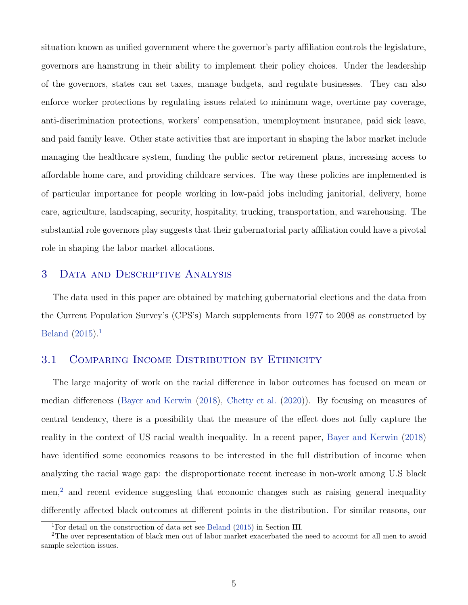situation known as unified government where the governor's party affiliation controls the legislature, governors are hamstrung in their ability to implement their policy choices. Under the leadership of the governors, states can set taxes, manage budgets, and regulate businesses. They can also enforce worker protections by regulating issues related to minimum wage, overtime pay coverage, anti-discrimination protections, workers' compensation, unemployment insurance, paid sick leave, and paid family leave. Other state activities that are important in shaping the labor market include managing the healthcare system, funding the public sector retirement plans, increasing access to affordable home care, and providing childcare services. The way these policies are implemented is of particular importance for people working in low-paid jobs including janitorial, delivery, home care, agriculture, landscaping, security, hospitality, trucking, transportation, and warehousing. The substantial role governors play suggests that their gubernatorial party affiliation could have a pivotal role in shaping the labor market allocations.

### 3 Data and Descriptive Analysis

The data used in this paper are obtained by matching gubernatorial elections and the data from the Current Population Survey's (CPS's) March supplements from 1977 to 2008 as constructed by [Beland](#page-18-2) [\(2015\)](#page-18-2).[1](#page-5-0)

### 3.1 COMPARING INCOME DISTRIBUTION BY ETHNICITY

The large majority of work on the racial difference in labor outcomes has focused on mean or median differences [\(Bayer and Kerwin](#page-18-1) [\(2018](#page-18-1)), [Chetty et al.](#page-18-5) [\(2020\)](#page-18-5)). By focusing on measures of central tendency, there is a possibility that the measure of the effect does not fully capture the reality in the context of US racial wealth inequality. In a recent paper, [Bayer and Kerwin](#page-18-1) [\(2018\)](#page-18-1) have identified some economics reasons to be interested in the full distribution of income when analyzing the racial wage gap: the disproportionate recent increase in non-work among U.S black  $men<sup>2</sup>$  $men<sup>2</sup>$  $men<sup>2</sup>$  and recent evidence suggesting that economic changes such as raising general inequality differently affected black outcomes at different points in the distribution. For similar reasons, our

<span id="page-5-0"></span><sup>&</sup>lt;sup>1</sup>For detail on the construction of data set see [Beland](#page-18-2) [\(2015\)](#page-18-2) in Section III.

<span id="page-5-1"></span><sup>&</sup>lt;sup>2</sup>The over representation of black men out of labor market exacerbated the need to account for all men to avoid sample selection issues.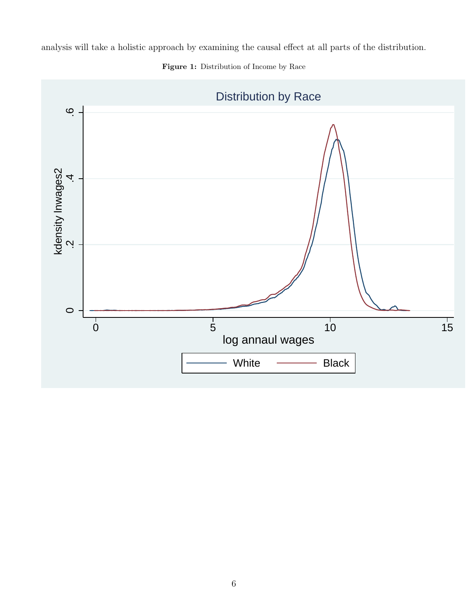<span id="page-6-0"></span>analysis will take a holistic approach by examining the causal effect at all parts of the distribution.



Figure 1: Distribution of Income by Race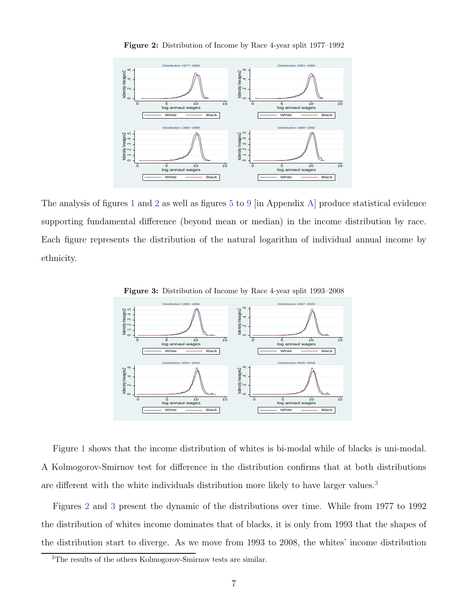<span id="page-7-0"></span>



The analysis of figures [1](#page-6-0) and [2](#page-7-0) as well as figures [5](#page-22-0) to [9](#page-24-0) [in Appendix [A\]](#page-22-1) produce statistical evidence supporting fundamental difference (beyond mean or median) in the income distribution by race. Each figure represents the distribution of the natural logarithm of individual annual income by ethnicity.





Figure [1](#page-6-0) shows that the income distribution of whites is bi-modal while of blacks is uni-modal. A Kolmogorov-Smirnov test for difference in the distribution confirms that at both distributions are different with the white individuals distribution more likely to have larger values.<sup>[3](#page-7-1)</sup>

Figures [2](#page-7-0) and [3](#page-7-0) present the dynamic of the distributions over time. While from 1977 to 1992 the distribution of whites income dominates that of blacks, it is only from 1993 that the shapes of the distribution start to diverge. As we move from 1993 to 2008, the whites' income distribution

<span id="page-7-1"></span><sup>3</sup>The results of the others Kolmogorov-Smirnov tests are similar.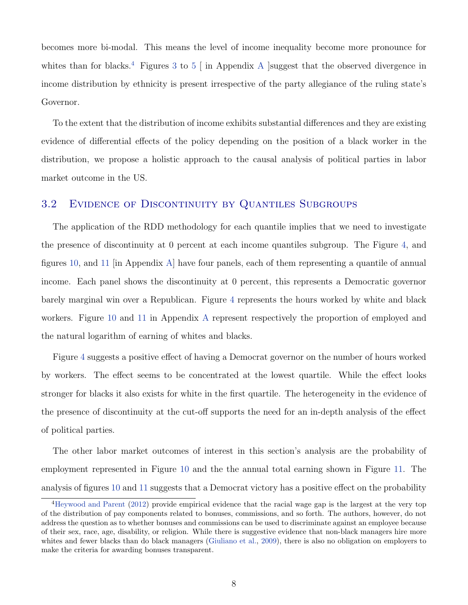becomes more bi-modal. This means the level of income inequality become more pronounce for whites than for blacks.<sup>[4](#page-8-0)</sup> Figures [3](#page-7-0) to [5](#page-22-0)  $\vert$  in [A](#page-22-1)ppendix A suggest that the observed divergence in income distribution by ethnicity is present irrespective of the party allegiance of the ruling state's Governor.

To the extent that the distribution of income exhibits substantial differences and they are existing evidence of differential effects of the policy depending on the position of a black worker in the distribution, we propose a holistic approach to the causal analysis of political parties in labor market outcome in the US.

### 3.2 Evidence of Discontinuity by Quantiles Subgroups

The application of the RDD methodology for each quantile implies that we need to investigate the presence of discontinuity at 0 percent at each income quantiles subgroup. The Figure [4,](#page-9-0) and figures [10,](#page-24-1) and [11](#page-25-0) [in Appendix [A\]](#page-22-1) have four panels, each of them representing a quantile of annual income. Each panel shows the discontinuity at 0 percent, this represents a Democratic governor barely marginal win over a Republican. Figure [4](#page-9-0) represents the hours worked by white and black workers. Figure [10](#page-24-1) and [11](#page-25-0) in Appendix [A](#page-22-1) represent respectively the proportion of employed and the natural logarithm of earning of whites and blacks.

Figure [4](#page-9-0) suggests a positive effect of having a Democrat governor on the number of hours worked by workers. The effect seems to be concentrated at the lowest quartile. While the effect looks stronger for blacks it also exists for white in the first quartile. The heterogeneity in the evidence of the presence of discontinuity at the cut-off supports the need for an in-depth analysis of the effect of political parties.

The other labor market outcomes of interest in this section's analysis are the probability of employment represented in Figure [10](#page-24-1) and the the annual total earning shown in Figure [11.](#page-25-0) The analysis of figures [10](#page-24-1) and [11](#page-25-0) suggests that a Democrat victory has a positive effect on the probability

<span id="page-8-0"></span><sup>&</sup>lt;sup>4</sup>[Heywood and Parent](#page-19-4) [\(2012](#page-19-4)) provide empirical evidence that the racial wage gap is the largest at the very top of the distribution of pay components related to bonuses, commissions, and so forth. The authors, however, do not address the question as to whether bonuses and commissions can be used to discriminate against an employee because of their sex, race, age, disability, or religion. While there is suggestive evidence that non-black managers hire more whites and fewer blacks than do black managers [\(Giuliano et al.,](#page-19-5) [2009\)](#page-19-5), there is also no obligation on employers to make the criteria for awarding bonuses transparent.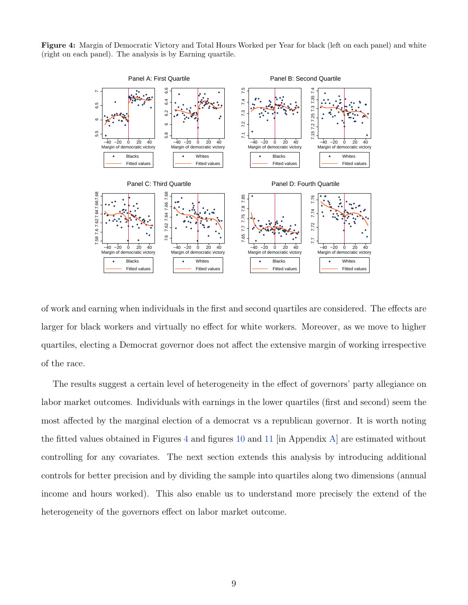<span id="page-9-0"></span>Figure 4: Margin of Democratic Victory and Total Hours Worked per Year for black (left on each panel) and white (right on each panel). The analysis is by Earning quartile.



of work and earning when individuals in the first and second quartiles are considered. The effects are larger for black workers and virtually no effect for white workers. Moreover, as we move to higher quartiles, electing a Democrat governor does not affect the extensive margin of working irrespective of the race.

The results suggest a certain level of heterogeneity in the effect of governors' party allegiance on labor market outcomes. Individuals with earnings in the lower quartiles (first and second) seem the most affected by the marginal election of a democrat vs a republican governor. It is worth noting the fitted values obtained in Figures [4](#page-9-0) and figures [10](#page-24-1) and [11](#page-25-0) [in Appendix [A\]](#page-22-1) are estimated without controlling for any covariates. The next section extends this analysis by introducing additional controls for better precision and by dividing the sample into quartiles along two dimensions (annual income and hours worked). This also enable us to understand more precisely the extend of the heterogeneity of the governors effect on labor market outcome.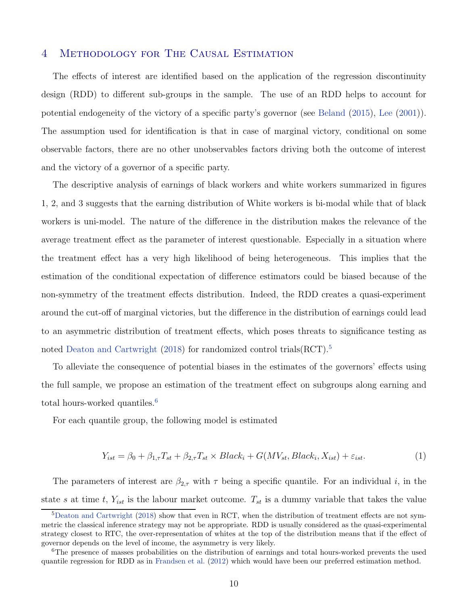### 4 Methodology for The Causal Estimation

The effects of interest are identified based on the application of the regression discontinuity design (RDD) to different sub-groups in the sample. The use of an RDD helps to account for potential endogeneity of the victory of a specific party's governor (see [Beland](#page-18-2) [\(2015](#page-18-2)), [Lee](#page-19-6) [\(2001\)](#page-19-6)). The assumption used for identification is that in case of marginal victory, conditional on some observable factors, there are no other unobservables factors driving both the outcome of interest and the victory of a governor of a specific party.

The descriptive analysis of earnings of black workers and white workers summarized in figures 1, 2, and 3 suggests that the earning distribution of White workers is bi-modal while that of black workers is uni-model. The nature of the difference in the distribution makes the relevance of the average treatment effect as the parameter of interest questionable. Especially in a situation where the treatment effect has a very high likelihood of being heterogeneous. This implies that the estimation of the conditional expectation of difference estimators could be biased because of the non-symmetry of the treatment effects distribution. Indeed, the RDD creates a quasi-experiment around the cut-off of marginal victories, but the difference in the distribution of earnings could lead to an asymmetric distribution of treatment effects, which poses threats to significance testing as noted [Deaton and Cartwright](#page-19-7) [\(2018\)](#page-19-7) for randomized control trials  $\text{RCT}$ .<sup>[5](#page-10-0)</sup>

To alleviate the consequence of potential biases in the estimates of the governors' effects using the full sample, we propose an estimation of the treatment effect on subgroups along earning and total hours-worked quantiles.<sup>[6](#page-10-1)</sup>

For each quantile group, the following model is estimated

<span id="page-10-2"></span>
$$
Y_{ist} = \beta_0 + \beta_{1,\tau} T_{st} + \beta_{2,\tau} T_{st} \times Black_i + G(MV_{st}, Black_i, X_{ist}) + \varepsilon_{ist}.
$$
\n(1)

The parameters of interest are  $\beta_{2,\tau}$  with  $\tau$  being a specific quantile. For an individual i, in the state s at time t,  $Y_{ist}$  is the labour market outcome.  $T_{st}$  is a dummy variable that takes the value

<span id="page-10-0"></span><sup>5</sup>[Deaton and Cartwright](#page-19-7) [\(2018\)](#page-19-7) show that even in RCT, when the distribution of treatment effects are not symmetric the classical inference strategy may not be appropriate. RDD is usually considered as the quasi-experimental strategy closest to RTC, the over-representation of whites at the top of the distribution means that if the effect of governor depends on the level of income, the asymmetry is very likely.

<span id="page-10-1"></span><sup>&</sup>lt;sup>6</sup>The presence of masses probabilities on the distribution of earnings and total hours-worked prevents the used quantile regression for RDD as in [Frandsen et al.](#page-19-2) [\(2012\)](#page-19-2) which would have been our preferred estimation method.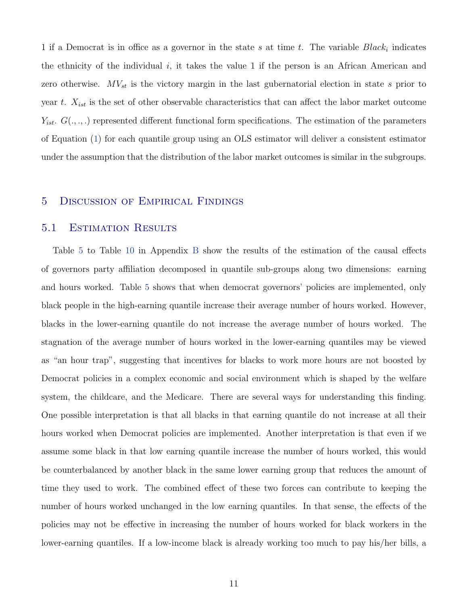1 if a Democrat is in office as a governor in the state s at time t. The variable  $Black<sub>i</sub>$  indicates the ethnicity of the individual i, it takes the value 1 if the person is an African American and zero otherwise.  $MV_{st}$  is the victory margin in the last gubernatorial election in state s prior to year t.  $X_{ist}$  is the set of other observable characteristics that can affect the labor market outcome  $Y_{ist}$ .  $G(.,.,.)$  represented different functional form specifications. The estimation of the parameters of Equation [\(1\)](#page-10-2) for each quantile group using an OLS estimator will deliver a consistent estimator under the assumption that the distribution of the labor market outcomes is similar in the subgroups.

### 5 Discussion of Empirical Findings

### 5.1 Estimation Results

Table [5](#page-26-0) to Table [10](#page-29-0) in Appendix [B](#page-25-1) show the results of the estimation of the causal effects of governors party affiliation decomposed in quantile sub-groups along two dimensions: earning and hours worked. Table [5](#page-26-0) shows that when democrat governors' policies are implemented, only black people in the high-earning quantile increase their average number of hours worked. However, blacks in the lower-earning quantile do not increase the average number of hours worked. The stagnation of the average number of hours worked in the lower-earning quantiles may be viewed as "an hour trap", suggesting that incentives for blacks to work more hours are not boosted by Democrat policies in a complex economic and social environment which is shaped by the welfare system, the childcare, and the Medicare. There are several ways for understanding this finding. One possible interpretation is that all blacks in that earning quantile do not increase at all their hours worked when Democrat policies are implemented. Another interpretation is that even if we assume some black in that low earning quantile increase the number of hours worked, this would be counterbalanced by another black in the same lower earning group that reduces the amount of time they used to work. The combined effect of these two forces can contribute to keeping the number of hours worked unchanged in the low earning quantiles. In that sense, the effects of the policies may not be effective in increasing the number of hours worked for black workers in the lower-earning quantiles. If a low-income black is already working too much to pay his/her bills, a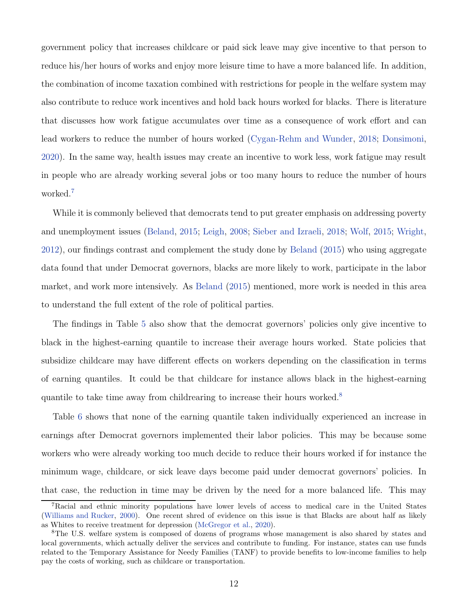government policy that increases childcare or paid sick leave may give incentive to that person to reduce his/her hours of works and enjoy more leisure time to have a more balanced life. In addition, the combination of income taxation combined with restrictions for people in the welfare system may also contribute to reduce work incentives and hold back hours worked for blacks. There is literature that discusses how work fatigue accumulates over time as a consequence of work effort and can lead workers to reduce the number of hours worked [\(Cygan-Rehm and Wunder,](#page-18-6) [2018;](#page-18-6) [Donsimoni,](#page-19-8) [2020\)](#page-19-8). In the same way, health issues may create an incentive to work less, work fatigue may result in people who are already working several jobs or too many hours to reduce the number of hours worked.<sup>[7](#page-12-0)</sup>

While it is commonly believed that democrats tend to put greater emphasis on addressing poverty and unemployment issues [\(Beland](#page-18-2), [2015;](#page-18-2) [Leigh,](#page-20-1) [2008](#page-20-1); [Sieber and Izraeli,](#page-20-2) [2018](#page-20-2); [Wolf,](#page-20-3) [2015](#page-20-3); [Wright,](#page-20-4) [2012\)](#page-20-4), our findings contrast and complement the study done by [Beland](#page-18-2) [\(2015\)](#page-18-2) who using aggregate data found that under Democrat governors, blacks are more likely to work, participate in the labor market, and work more intensively. As [Beland](#page-18-2) [\(2015\)](#page-18-2) mentioned, more work is needed in this area to understand the full extent of the role of political parties.

The findings in Table [5](#page-26-0) also show that the democrat governors' policies only give incentive to black in the highest-earning quantile to increase their average hours worked. State policies that subsidize childcare may have different effects on workers depending on the classification in terms of earning quantiles. It could be that childcare for instance allows black in the highest-earning quantile to take time away from childrearing to increase their hours worked.<sup>[8](#page-12-1)</sup>

Table [6](#page-27-0) shows that none of the earning quantile taken individually experienced an increase in earnings after Democrat governors implemented their labor policies. This may be because some workers who were already working too much decide to reduce their hours worked if for instance the minimum wage, childcare, or sick leave days become paid under democrat governors' policies. In that case, the reduction in time may be driven by the need for a more balanced life. This may

<span id="page-12-0"></span><sup>7</sup>Racial and ethnic minority populations have lower levels of access to medical care in the United States [\(Williams and Rucker,](#page-20-5) [2000\)](#page-20-5). One recent shred of evidence on this issue is that Blacks are about half as likely as Whites to receive treatment for depression [\(McGregor et al.,](#page-20-6) [2020\)](#page-20-6).

<span id="page-12-1"></span><sup>8</sup>The U.S. welfare system is composed of dozens of programs whose management is also shared by states and local governments, which actually deliver the services and contribute to funding. For instance, states can use funds related to the Temporary Assistance for Needy Families (TANF) to provide benefits to low-income families to help pay the costs of working, such as childcare or transportation.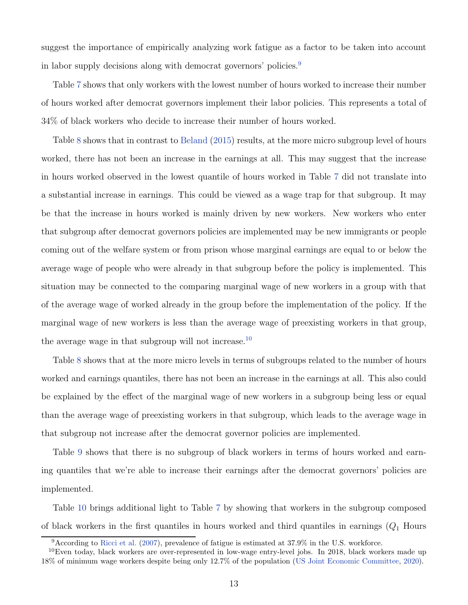suggest the importance of empirically analyzing work fatigue as a factor to be taken into account in labor supply decisions along with democrat governors' policies.<sup>[9](#page-13-0)</sup>

Table [7](#page-27-1) shows that only workers with the lowest number of hours worked to increase their number of hours worked after democrat governors implement their labor policies. This represents a total of 34% of black workers who decide to increase their number of hours worked.

Table [8](#page-28-0) shows that in contrast to [Beland](#page-18-2) [\(2015\)](#page-18-2) results, at the more micro subgroup level of hours worked, there has not been an increase in the earnings at all. This may suggest that the increase in hours worked observed in the lowest quantile of hours worked in Table [7](#page-27-1) did not translate into a substantial increase in earnings. This could be viewed as a wage trap for that subgroup. It may be that the increase in hours worked is mainly driven by new workers. New workers who enter that subgroup after democrat governors policies are implemented may be new immigrants or people coming out of the welfare system or from prison whose marginal earnings are equal to or below the average wage of people who were already in that subgroup before the policy is implemented. This situation may be connected to the comparing marginal wage of new workers in a group with that of the average wage of worked already in the group before the implementation of the policy. If the marginal wage of new workers is less than the average wage of preexisting workers in that group, the average wage in that subgroup will not increase.<sup>[10](#page-13-1)</sup>

Table [8](#page-28-0) shows that at the more micro levels in terms of subgroups related to the number of hours worked and earnings quantiles, there has not been an increase in the earnings at all. This also could be explained by the effect of the marginal wage of new workers in a subgroup being less or equal than the average wage of preexisting workers in that subgroup, which leads to the average wage in that subgroup not increase after the democrat governor policies are implemented.

Table [9](#page-28-1) shows that there is no subgroup of black workers in terms of hours worked and earning quantiles that we're able to increase their earnings after the democrat governors' policies are implemented.

Table [10](#page-29-0) brings additional light to Table [7](#page-27-1) by showing that workers in the subgroup composed of black workers in the first quantiles in hours worked and third quantiles in earnings  $(Q_1)$  Hours

<span id="page-13-0"></span><sup>9</sup>According to [Ricci et al.](#page-20-7) [\(2007\)](#page-20-7), prevalence of fatigue is estimated at 37.9% in the U.S. workforce.

<span id="page-13-1"></span> $10E$ ven today, black workers are over-represented in low-wage entry-level jobs. In 2018, black workers made up 18% of minimum wage workers despite being only 12.7% of the population [\(US Joint Economic Committee](#page-20-8), [2020](#page-20-8)).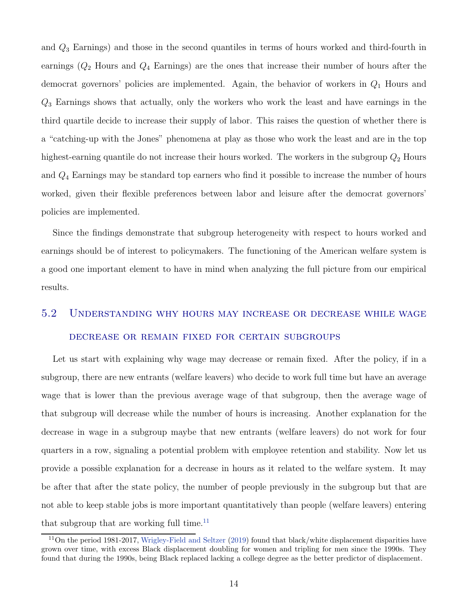and  $Q_3$  Earnings) and those in the second quantiles in terms of hours worked and third-fourth in earnings  $(Q_2)$  Hours and  $Q_4$  Earnings) are the ones that increase their number of hours after the democrat governors' policies are implemented. Again, the behavior of workers in  $Q_1$  Hours and  $Q_3$  Earnings shows that actually, only the workers who work the least and have earnings in the third quartile decide to increase their supply of labor. This raises the question of whether there is a "catching-up with the Jones" phenomena at play as those who work the least and are in the top highest-earning quantile do not increase their hours worked. The workers in the subgroup  $Q_2$  Hours and Q<sup>4</sup> Earnings may be standard top earners who find it possible to increase the number of hours worked, given their flexible preferences between labor and leisure after the democrat governors' policies are implemented.

Since the findings demonstrate that subgroup heterogeneity with respect to hours worked and earnings should be of interest to policymakers. The functioning of the American welfare system is a good one important element to have in mind when analyzing the full picture from our empirical results.

# 5.2 Understanding why hours may increase or decrease while wage decrease or remain fixed for certain subgroups

Let us start with explaining why wage may decrease or remain fixed. After the policy, if in a subgroup, there are new entrants (welfare leavers) who decide to work full time but have an average wage that is lower than the previous average wage of that subgroup, then the average wage of that subgroup will decrease while the number of hours is increasing. Another explanation for the decrease in wage in a subgroup maybe that new entrants (welfare leavers) do not work for four quarters in a row, signaling a potential problem with employee retention and stability. Now let us provide a possible explanation for a decrease in hours as it related to the welfare system. It may be after that after the state policy, the number of people previously in the subgroup but that are not able to keep stable jobs is more important quantitatively than people (welfare leavers) entering that subgroup that are working full time. $11$ 

<span id="page-14-0"></span> $11$ On the period 1981-2017, [Wrigley-Field and Seltzer](#page-21-0) [\(2019\)](#page-21-0) found that black/white displacement disparities have grown over time, with excess Black displacement doubling for women and tripling for men since the 1990s. They found that during the 1990s, being Black replaced lacking a college degree as the better predictor of displacement.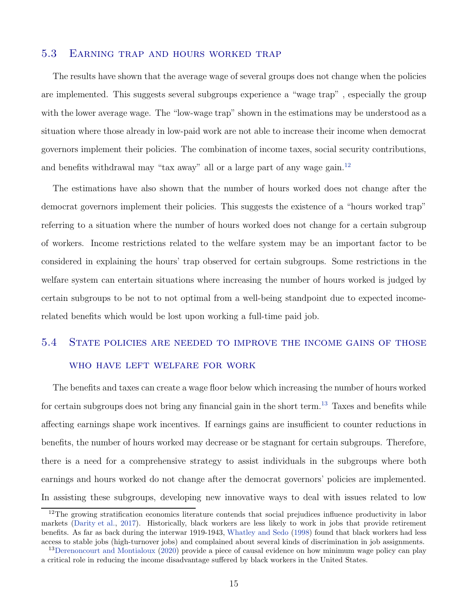### 5.3 Earning trap and hours worked trap

The results have shown that the average wage of several groups does not change when the policies are implemented. This suggests several subgroups experience a "wage trap" , especially the group with the lower average wage. The "low-wage trap" shown in the estimations may be understood as a situation where those already in low-paid work are not able to increase their income when democrat governors implement their policies. The combination of income taxes, social security contributions, and benefits withdrawal may "tax away" all or a large part of any wage gain.<sup>[12](#page-15-0)</sup>

The estimations have also shown that the number of hours worked does not change after the democrat governors implement their policies. This suggests the existence of a "hours worked trap" referring to a situation where the number of hours worked does not change for a certain subgroup of workers. Income restrictions related to the welfare system may be an important factor to be considered in explaining the hours' trap observed for certain subgroups. Some restrictions in the welfare system can entertain situations where increasing the number of hours worked is judged by certain subgroups to be not to not optimal from a well-being standpoint due to expected incomerelated benefits which would be lost upon working a full-time paid job.

# 5.4 State policies are needed to improve the income gains of those who have left welfare for work

The benefits and taxes can create a wage floor below which increasing the number of hours worked for certain subgroups does not bring any financial gain in the short term.<sup>[13](#page-15-1)</sup> Taxes and benefits while affecting earnings shape work incentives. If earnings gains are insufficient to counter reductions in benefits, the number of hours worked may decrease or be stagnant for certain subgroups. Therefore, there is a need for a comprehensive strategy to assist individuals in the subgroups where both earnings and hours worked do not change after the democrat governors' policies are implemented. In assisting these subgroups, developing new innovative ways to deal with issues related to low

<span id="page-15-0"></span><sup>&</sup>lt;sup>12</sup>The growing stratification economics literature contends that social prejudices influence productivity in labor markets [\(Darity et al.](#page-18-7), [2017\)](#page-18-7). Historically, black workers are less likely to work in jobs that provide retirement benefits. As far as back during the interwar 1919-1943, [Whatley and Sedo](#page-20-9) [\(1998\)](#page-20-9) found that black workers had less access to stable jobs (high-turnover jobs) and complained about several kinds of discrimination in job assignments.

<span id="page-15-1"></span><sup>&</sup>lt;sup>13</sup>[Derenoncourt and Montialoux](#page-19-9) [\(2020\)](#page-19-9) provide a piece of causal evidence on how minimum wage policy can play a critical role in reducing the income disadvantage suffered by black workers in the United States.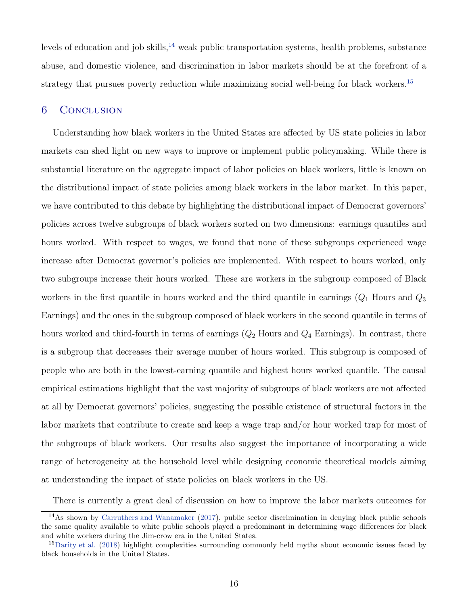levels of education and job skills, $^{14}$  $^{14}$  $^{14}$  weak public transportation systems, health problems, substance abuse, and domestic violence, and discrimination in labor markets should be at the forefront of a strategy that pursues poverty reduction while maximizing social well-being for black workers.<sup>[15](#page-16-1)</sup>

### 6 Conclusion

Understanding how black workers in the United States are affected by US state policies in labor markets can shed light on new ways to improve or implement public policymaking. While there is substantial literature on the aggregate impact of labor policies on black workers, little is known on the distributional impact of state policies among black workers in the labor market. In this paper, we have contributed to this debate by highlighting the distributional impact of Democrat governors' policies across twelve subgroups of black workers sorted on two dimensions: earnings quantiles and hours worked. With respect to wages, we found that none of these subgroups experienced wage increase after Democrat governor's policies are implemented. With respect to hours worked, only two subgroups increase their hours worked. These are workers in the subgroup composed of Black workers in the first quantile in hours worked and the third quantile in earnings  $(Q_1)$  Hours and  $Q_3$ Earnings) and the ones in the subgroup composed of black workers in the second quantile in terms of hours worked and third-fourth in terms of earnings  $(Q_2)$  Hours and  $Q_4$  Earnings). In contrast, there is a subgroup that decreases their average number of hours worked. This subgroup is composed of people who are both in the lowest-earning quantile and highest hours worked quantile. The causal empirical estimations highlight that the vast majority of subgroups of black workers are not affected at all by Democrat governors' policies, suggesting the possible existence of structural factors in the labor markets that contribute to create and keep a wage trap and/or hour worked trap for most of the subgroups of black workers. Our results also suggest the importance of incorporating a wide range of heterogeneity at the household level while designing economic theoretical models aiming at understanding the impact of state policies on black workers in the US.

There is currently a great deal of discussion on how to improve the labor markets outcomes for

<span id="page-16-0"></span><sup>&</sup>lt;sup>14</sup>As shown by [Carruthers and Wanamaker](#page-18-8) [\(2017](#page-18-8)), public sector discrimination in denying black public schools the same quality available to white public schools played a predominant in determining wage differences for black and white workers during the Jim-crow era in the United States.

<span id="page-16-1"></span><sup>&</sup>lt;sup>15</sup>[Darity et al.](#page-19-10) [\(2018\)](#page-19-10) highlight complexities surrounding commonly held myths about economic issues faced by black households in the United States.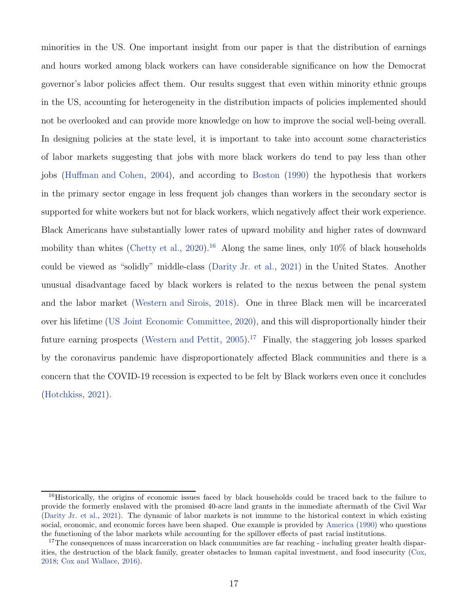minorities in the US. One important insight from our paper is that the distribution of earnings and hours worked among black workers can have considerable significance on how the Democrat governor's labor policies affect them. Our results suggest that even within minority ethnic groups in the US, accounting for heterogeneity in the distribution impacts of policies implemented should not be overlooked and can provide more knowledge on how to improve the social well-being overall. In designing policies at the state level, it is important to take into account some characteristics of labor markets suggesting that jobs with more black workers do tend to pay less than other jobs [\(Huffman and Cohen](#page-19-11), [2004\)](#page-19-11), and according to [Boston](#page-18-9) [\(1990\)](#page-18-9) the hypothesis that workers in the primary sector engage in less frequent job changes than workers in the secondary sector is supported for white workers but not for black workers, which negatively affect their work experience. Black Americans have substantially lower rates of upward mobility and higher rates of downward mobility than whites [\(Chetty et al.](#page-18-5), [2020](#page-18-5)).<sup>[16](#page-17-0)</sup> Along the same lines, only  $10\%$  of black households could be viewed as "solidly" middle-class [\(Darity Jr. et al.](#page-19-0), [2021](#page-19-0)) in the United States. Another unusual disadvantage faced by black workers is related to the nexus between the penal system and the labor market [\(Western and Sirois](#page-20-10), [2018](#page-20-10)). One in three Black men will be incarcerated over his lifetime [\(US Joint Economic Committee,](#page-20-8) [2020\)](#page-20-8), and this will disproportionally hinder their future earning prospects [\(Western and Pettit,](#page-20-11)  $2005$ ).<sup>[17](#page-17-1)</sup> Finally, the staggering job losses sparked by the coronavirus pandemic have disproportionately affected Black communities and there is a concern that the COVID-19 recession is expected to be felt by Black workers even once it concludes [\(Hotchkiss,](#page-19-12) [2021](#page-19-12)).

<span id="page-17-0"></span><sup>&</sup>lt;sup>16</sup>Historically, the origins of economic issues faced by black households could be traced back to the failure to provide the formerly enslaved with the promised 40-acre land grants in the immediate aftermath of the Civil War [\(Darity Jr. et al.,](#page-19-0) [2021](#page-19-0)). The dynamic of labor markets is not immune to the historical context in which existing social, economic, and economic forces have been shaped. One example is provided by [America](#page-18-10) [\(1990\)](#page-18-10) who questions the functioning of the labor markets while accounting for the spillover effects of past racial institutions.

<span id="page-17-1"></span><sup>&</sup>lt;sup>17</sup>The consequences of mass incarceration on black communities are far reaching - including greater health disparities, the destruction of the black family, greater obstacles to human capital investment, and food insecurity [\(Cox](#page-18-11), [2018;](#page-18-11) [Cox and Wallace,](#page-18-12) [2016\)](#page-18-12).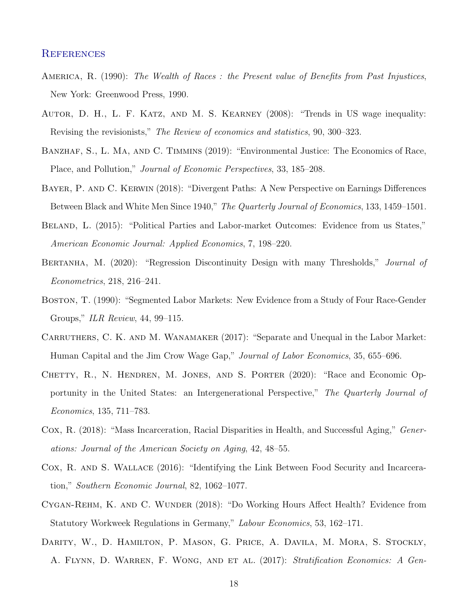### **REFERENCES**

- <span id="page-18-10"></span>America, R. (1990): *The Wealth of Races : the Present value of Benefits from Past Injustices*, New York: Greenwood Press, 1990.
- <span id="page-18-0"></span>Autor, D. H., L. F. Katz, and M. S. Kearney (2008): "Trends in US wage inequality: Revising the revisionists," *The Review of economics and statistics*, 90, 300–323.
- <span id="page-18-3"></span>BANZHAF, S., L. MA, AND C. TIMMINS (2019): "Environmental Justice: The Economics of Race, Place, and Pollution," *Journal of Economic Perspectives*, 33, 185–208.
- <span id="page-18-1"></span>Bayer, P. and C. Kerwin (2018): "Divergent Paths: A New Perspective on Earnings Differences Between Black and White Men Since 1940," *The Quarterly Journal of Economics*, 133, 1459–1501.
- <span id="page-18-2"></span>BELAND, L. (2015): "Political Parties and Labor-market Outcomes: Evidence from us States," *American Economic Journal: Applied Economics*, 7, 198–220.
- <span id="page-18-4"></span>Bertanha, M. (2020): "Regression Discontinuity Design with many Thresholds," *Journal of Econometrics*, 218, 216–241.
- <span id="page-18-9"></span>Boston, T. (1990): "Segmented Labor Markets: New Evidence from a Study of Four Race-Gender Groups," *ILR Review*, 44, 99–115.
- <span id="page-18-8"></span>CARRUTHERS, C. K. AND M. WANAMAKER (2017): "Separate and Unequal in the Labor Market: Human Capital and the Jim Crow Wage Gap," *Journal of Labor Economics*, 35, 655–696.
- <span id="page-18-5"></span>Chetty, R., N. Hendren, M. Jones, and S. Porter (2020): "Race and Economic Opportunity in the United States: an Intergenerational Perspective," *The Quarterly Journal of Economics*, 135, 711–783.
- <span id="page-18-11"></span>Cox, R. (2018): "Mass Incarceration, Racial Disparities in Health, and Successful Aging," *Generations: Journal of the American Society on Aging*, 42, 48–55.
- <span id="page-18-12"></span>Cox, R. and S. Wallace (2016): "Identifying the Link Between Food Security and Incarceration," *Southern Economic Journal*, 82, 1062–1077.
- <span id="page-18-6"></span>Cygan-Rehm, K. and C. Wunder (2018): "Do Working Hours Affect Health? Evidence from Statutory Workweek Regulations in Germany," *Labour Economics*, 53, 162–171.
- <span id="page-18-7"></span>Darity, W., D. Hamilton, P. Mason, G. Price, A. Davila, M. Mora, S. Stockly, A. Flynn, D. Warren, F. Wong, and et al. (2017): *Stratification Economics: A Gen-*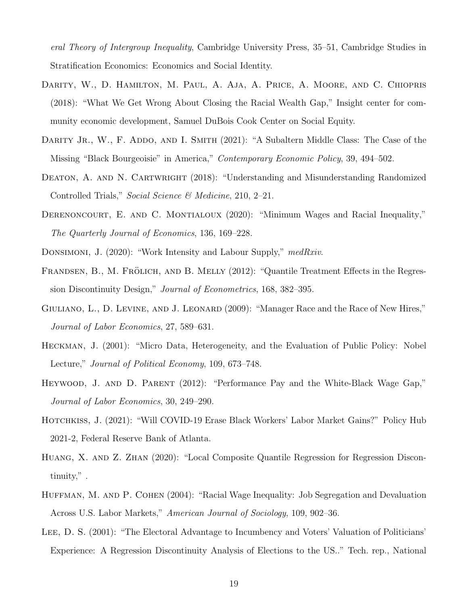*eral Theory of Intergroup Inequality*, Cambridge University Press, 35–51, Cambridge Studies in Stratification Economics: Economics and Social Identity.

- <span id="page-19-10"></span>Darity, W., D. Hamilton, M. Paul, A. Aja, A. Price, A. Moore, and C. Chiopris (2018): "What We Get Wrong About Closing the Racial Wealth Gap," Insight center for community economic development, Samuel DuBois Cook Center on Social Equity.
- <span id="page-19-0"></span>DARITY JR., W., F. ADDO, AND I. SMITH (2021): "A Subaltern Middle Class: The Case of the Missing "Black Bourgeoisie" in America," *Contemporary Economic Policy*, 39, 494–502.
- <span id="page-19-7"></span>DEATON, A. AND N. CARTWRIGHT (2018): "Understanding and Misunderstanding Randomized Controlled Trials," *Social Science & Medicine*, 210, 2–21.
- <span id="page-19-9"></span>DERENONCOURT, E. AND C. MONTIALOUX (2020): "Minimum Wages and Racial Inequality," *The Quarterly Journal of Economics*, 136, 169–228.
- <span id="page-19-8"></span><span id="page-19-2"></span>Donsimoni, J. (2020): "Work Intensity and Labour Supply," *medRxiv*.
- FRANDSEN, B., M. FRÖLICH, AND B. MELLY (2012): "Quantile Treatment Effects in the Regression Discontinuity Design," *Journal of Econometrics*, 168, 382–395.
- <span id="page-19-5"></span>GIULIANO, L., D. LEVINE, AND J. LEONARD (2009): "Manager Race and the Race of New Hires," *Journal of Labor Economics*, 27, 589–631.
- <span id="page-19-1"></span>Heckman, J. (2001): "Micro Data, Heterogeneity, and the Evaluation of Public Policy: Nobel Lecture," *Journal of Political Economy*, 109, 673–748.
- <span id="page-19-4"></span>Heywood, J. and D. Parent (2012): "Performance Pay and the White-Black Wage Gap," *Journal of Labor Economics*, 30, 249–290.
- <span id="page-19-12"></span>HOTCHKISS, J. (2021): "Will COVID-19 Erase Black Workers' Labor Market Gains?" Policy Hub 2021-2, Federal Reserve Bank of Atlanta.
- <span id="page-19-3"></span>Huang, X. and Z. Zhan (2020): "Local Composite Quantile Regression for Regression Discontinuity," .
- <span id="page-19-11"></span>HUFFMAN, M. AND P. COHEN (2004): "Racial Wage Inequality: Job Segregation and Devaluation Across U.S. Labor Markets," *American Journal of Sociology*, 109, 902–36.
- <span id="page-19-6"></span>LEE, D. S. (2001): "The Electoral Advantage to Incumbency and Voters' Valuation of Politicians' Experience: A Regression Discontinuity Analysis of Elections to the US.." Tech. rep., National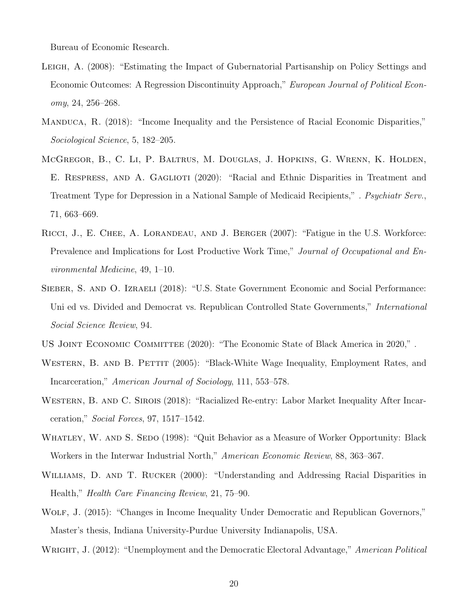Bureau of Economic Research.

- <span id="page-20-1"></span>Leigh, A. (2008): "Estimating the Impact of Gubernatorial Partisanship on Policy Settings and Economic Outcomes: A Regression Discontinuity Approach," *European Journal of Political Economy*, 24, 256–268.
- <span id="page-20-0"></span>Manduca, R. (2018): "Income Inequality and the Persistence of Racial Economic Disparities," *Sociological Science*, 5, 182–205.
- <span id="page-20-6"></span>McGregor, B., C. Li, P. Baltrus, M. Douglas, J. Hopkins, G. Wrenn, K. Holden, E. Respress, and A. Gaglioti (2020): "Racial and Ethnic Disparities in Treatment and Treatment Type for Depression in a National Sample of Medicaid Recipients," *. Psychiatr Serv.*, 71, 663–669.
- <span id="page-20-7"></span>RICCI, J., E. CHEE, A. LORANDEAU, AND J. BERGER (2007): "Fatigue in the U.S. Workforce: Prevalence and Implications for Lost Productive Work Time," *Journal of Occupational and Environmental Medicine*, 49, 1–10.
- <span id="page-20-2"></span>SIEBER, S. AND O. IZRAELI (2018): "U.S. State Government Economic and Social Performance: Uni ed vs. Divided and Democrat vs. Republican Controlled State Governments," *International Social Science Review*, 94.
- <span id="page-20-11"></span><span id="page-20-8"></span>US JOINT ECONOMIC COMMITTEE (2020): "The Economic State of Black America in 2020,".
- WESTERN, B. AND B. PETTIT (2005): "Black-White Wage Inequality, Employment Rates, and Incarceration," *American Journal of Sociology*, 111, 553–578.
- <span id="page-20-10"></span>WESTERN, B. AND C. SIROIS (2018): "Racialized Re-entry: Labor Market Inequality After Incarceration," *Social Forces*, 97, 1517–1542.
- <span id="page-20-9"></span>WHATLEY, W. AND S. SEDO (1998): "Quit Behavior as a Measure of Worker Opportunity: Black Workers in the Interwar Industrial North," *American Economic Review*, 88, 363–367.
- <span id="page-20-5"></span>WILLIAMS, D. AND T. RUCKER (2000): "Understanding and Addressing Racial Disparities in Health," *Health Care Financing Review*, 21, 75–90.
- <span id="page-20-3"></span>WOLF, J. (2015): "Changes in Income Inequality Under Democratic and Republican Governors," Master's thesis, Indiana University-Purdue University Indianapolis, USA.
- <span id="page-20-4"></span>Wright, J. (2012): "Unemployment and the Democratic Electoral Advantage," *American Political*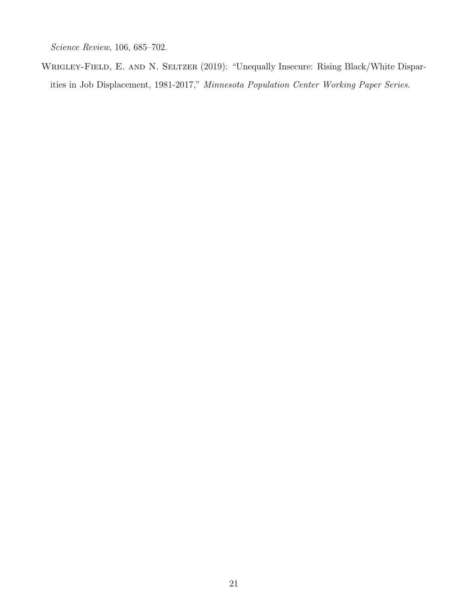*Science Review*, 106, 685–702.

<span id="page-21-0"></span>WRIGLEY-FIELD, E. AND N. SELTZER (2019): "Unequally Insecure: Rising Black/White Disparities in Job Displacement, 1981-2017," *Minnesota Population Center Working Paper Series*.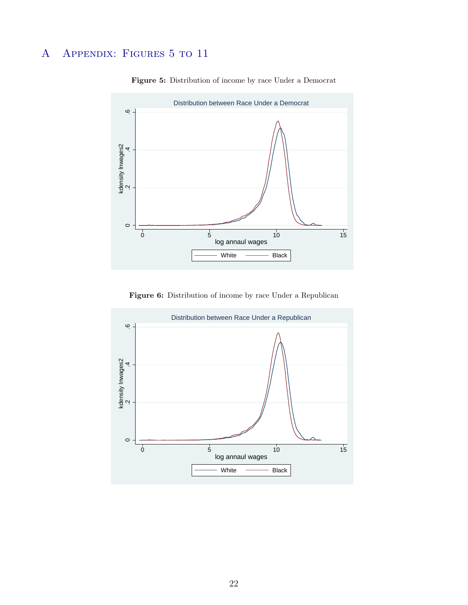## <span id="page-22-1"></span><span id="page-22-0"></span>A Appendix: Figures 5 to 11



Figure 5: Distribution of income by race Under a Democrat

Figure 6: Distribution of income by race Under a Republican

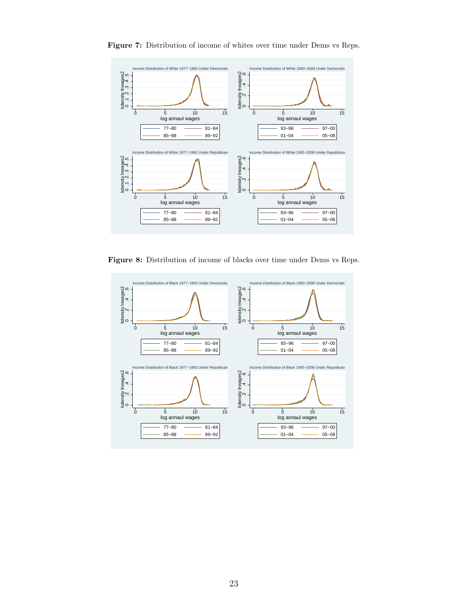

Figure 7: Distribution of income of whites over time under Dems vs Reps.

Figure 8: Distribution of income of blacks over time under Dems vs Reps.

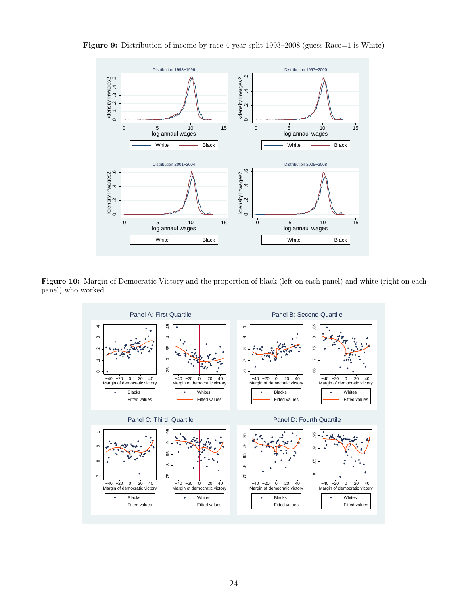

<span id="page-24-0"></span>Figure 9: Distribution of income by race 4-year split 1993–2008 (guess Race=1 is White)

<span id="page-24-1"></span>Figure 10: Margin of Democratic Victory and the proportion of black (left on each panel) and white (right on each panel) who worked.

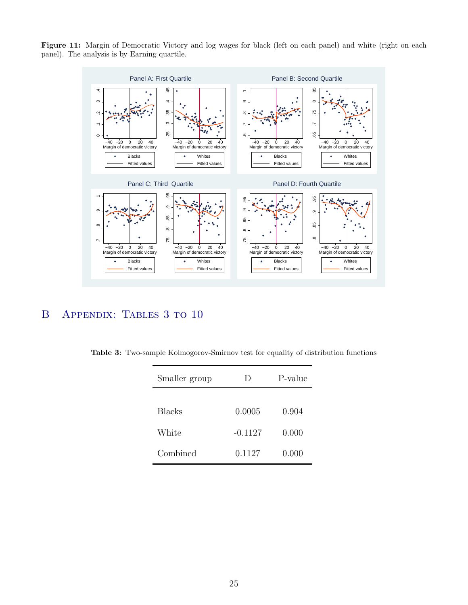<span id="page-25-0"></span>



## <span id="page-25-1"></span>B Appendix: Tables 3 to 10

|  |  | Table 3: Two-sample Kolmogorov-Smirnov test for equality of distribution functions |  |  |  |  |  |  |
|--|--|------------------------------------------------------------------------------------|--|--|--|--|--|--|
|--|--|------------------------------------------------------------------------------------|--|--|--|--|--|--|

| Smaller group | $\vert$ ) | P-value |
|---------------|-----------|---------|
|               |           |         |
| <b>Blacks</b> | 0.0005    | 0.904   |
| White         | $-0.1127$ | 0.000   |
| Combined      | 0.1127    | 0.000   |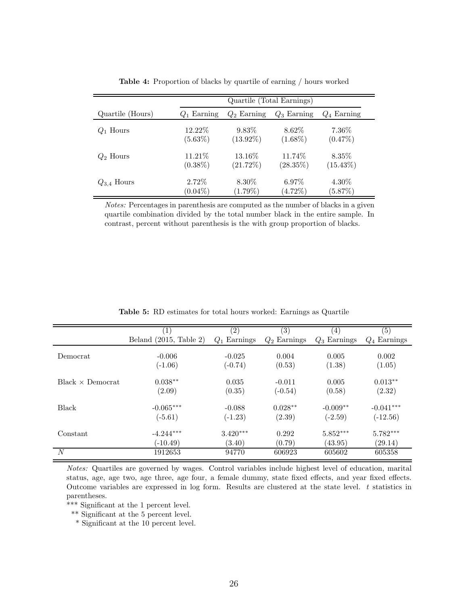|                  | Quartile (Total Earnings) |               |               |               |  |  |
|------------------|---------------------------|---------------|---------------|---------------|--|--|
| Quartile (Hours) | $Q_1$ Earning             | $Q_2$ Earning | $Q_3$ Earning | $Q_4$ Earning |  |  |
| $Q_1$ Hours      | 12.22\%                   | $9.83\%$      | 8.62\%        | $7.36\%$      |  |  |
|                  | $(5.63\%)$                | $(13.92\%)$   | $(1.68\%)$    | $(0.47\%)$    |  |  |
| $Q_2$ Hours      | 11.21\%                   | 13.16\%       | 11.74\%       | 8.35\%        |  |  |
|                  | $(0.38\%)$                | (21.72%)      | $(28.35\%)$   | $(15.43\%)$   |  |  |
| $Q_{3,4}$ Hours  | $2.72\%$                  | 8.30\%        | $6.97\%$      | $4.30\%$      |  |  |
|                  | $(0.04\%)$                | $(1.79\%)$    | $(4.72\%)$    | (5.87%)       |  |  |

Table 4: Proportion of blacks by quartile of earning / hours worked

Notes: Percentages in parenthesis are computed as the number of blacks in a given quartile combination divided by the total number black in the entire sample. In contrast, percent without parenthesis is the with group proportion of blacks.

<span id="page-26-0"></span>

|                          | $\left(1\right)$         | $\left( 2\right)$ | $\left( 3\right)$ | (4)            | (5)               |
|--------------------------|--------------------------|-------------------|-------------------|----------------|-------------------|
|                          | Beland $(2015, Table 2)$ | $Q_1$ Earnings    | $Q_2$ Earnings    | $Q_3$ Earnings | Earnings<br>$Q_4$ |
|                          |                          |                   |                   |                |                   |
| Democrat                 | $-0.006$                 | $-0.025$          | 0.004             | 0.005          | 0.002             |
|                          | $(-1.06)$                | $(-0.74)$         | (0.53)            | (1.38)         | (1.05)            |
| $Black \times Demoncrat$ | $0.038**$                | 0.035             | $-0.011$          | 0.005          | $0.013**$         |
|                          | (2.09)                   | (0.35)            | $(-0.54)$         | (0.58)         | (2.32)            |
| <b>Black</b>             | $-0.065***$              | $-0.088$          | $0.028**$         | $-0.009**$     | $-0.041***$       |
|                          | $(-5.61)$                | $(-1.23)$         | (2.39)            | $(-2.59)$      | $(-12.56)$        |
| Constant                 | $-4.244***$              | $3.420***$        | 0.292             | $5.852***$     | $5.782***$        |
|                          | $(-10.49)$               | (3.40)            | (0.79)            | (43.95)        | (29.14)           |
| N                        | 1912653                  | 94770             | 606923            | 605602         | 605358            |

Table 5: RD estimates for total hours worked: Earnings as Quartile

Notes: Quartiles are governed by wages. Control variables include highest level of education, marital status, age, age two, age three, age four, a female dummy, state fixed effects, and year fixed effects. Outcome variables are expressed in log form. Results are clustered at the state level. t statistics in parentheses.

\*\*\* Significant at the 1 percent level.

\*\* Significant at the 5 percent level.

\* Significant at the 10 percent level.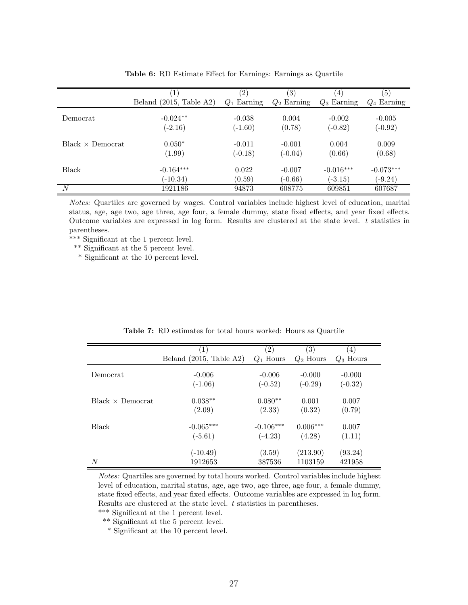<span id="page-27-0"></span>

|                          |                         | $\left( 2\right)$ | (3)           | (4)           | $\left( 5\right)$ |
|--------------------------|-------------------------|-------------------|---------------|---------------|-------------------|
|                          | Beland (2015, Table A2) | $Q_1$ Earning     | $Q_2$ Earning | $Q_3$ Earning | $Q_4$ Earning     |
| Democrat                 | $-0.024**$              | $-0.038$          | 0.004         | $-0.002$      | $-0.005$          |
|                          | $(-2.16)$               | $(-1.60)$         | (0.78)        | $(-0.82)$     | $(-0.92)$         |
| $Black \times Demoncrat$ | $0.050*$                | $-0.011$          | $-0.001$      | 0.004         | 0.009             |
|                          | (1.99)                  | $(-0.18)$         | $(-0.04)$     | (0.66)        | (0.68)            |
| Black                    | $-0.164***$             | 0.022             | $-0.007$      | $-0.016***$   | $-0.073***$       |
|                          | $(-10.34)$              | (0.59)            | $(-0.66)$     | $(-3.15)$     | $(-9.24)$         |
| N                        | 1921186                 | 94873             | 608775        | 609851        | 607687            |

Table 6: RD Estimate Effect for Earnings: Earnings as Quartile

Notes: Quartiles are governed by wages. Control variables include highest level of education, marital status, age, age two, age three, age four, a female dummy, state fixed effects, and year fixed effects. Outcome variables are expressed in log form. Results are clustered at the state level. t statistics in parentheses.

\*\*\* Significant at the 1 percent level.

\*\* Significant at the 5 percent level.

\* Significant at the 10 percent level.

<span id="page-27-1"></span>

|                          | (1)                     | $\left( 2\right)$ | (3)         | $\left( 4\right)$ |
|--------------------------|-------------------------|-------------------|-------------|-------------------|
|                          | Beland (2015, Table A2) | $Q_1$ Hours       | $Q_2$ Hours | $Q_3$ Hours       |
| Democrat                 | $-0.006$                | $-0.006$          | $-0.000$    | $-0.000$          |
|                          | $(-1.06)$               | $(-0.52)$         | $(-0.29)$   | $(-0.32)$         |
| $Black \times Demoncrat$ | $0.038**$               | $0.080**$         | 0.001       | 0.007             |
|                          | (2.09)                  | (2.33)            | (0.32)      | (0.79)            |
| <b>Black</b>             | $-0.065***$             | $-0.106***$       | $0.006***$  | 0.007             |
|                          | $(-5.61)$               | $(-4.23)$         | (4.28)      | (1.11)            |
|                          | $(-10.49)$              | (3.59)            | (213.90)    | (93.24)           |
| N                        | 1912653                 | 387536            | 1103159     | 421958            |

Table 7: RD estimates for total hours worked: Hours as Quartile

Notes: Quartiles are governed by total hours worked. Control variables include highest level of education, marital status, age, age two, age three, age four, a female dummy, state fixed effects, and year fixed effects. Outcome variables are expressed in log form. Results are clustered at the state level.  $t$  statistics in parentheses.

\*\*\* Significant at the 1 percent level. \*\* Significant at the 5 percent level.

\* Significant at the 10 percent level.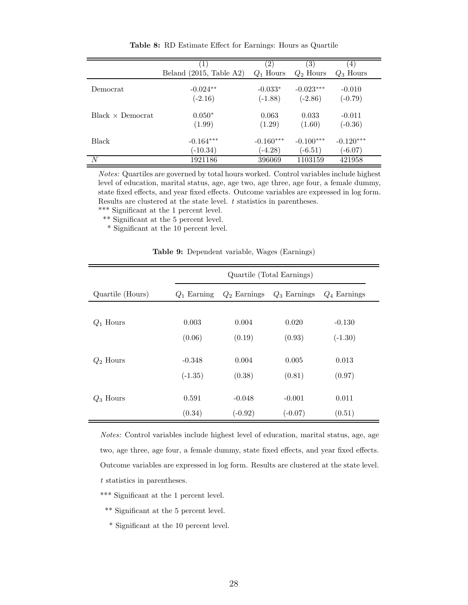<span id="page-28-0"></span>

|                          | Beland $(2015, Table A2)$ | $\left( 2\right)$<br>$Q_1$ Hours | $\left( 3\right)$<br>$Q_2$ Hours | (4)<br>$Q_3$ Hours |
|--------------------------|---------------------------|----------------------------------|----------------------------------|--------------------|
| Democrat                 | $-0.024**$                | $-0.033*$                        | $-0.023***$                      | $-0.010$           |
|                          | $(-2.16)$                 | $(-1.88)$                        | $(-2.86)$                        | $(-0.79)$          |
| $Black \times Demoncrat$ | $0.050*$                  | 0.063                            | 0.033                            | $-0.011$           |
|                          | (1.99)                    | (1.29)                           | (1.60)                           | $(-0.36)$          |
| <b>Black</b>             | $-0.164***$               | $-0.160***$                      | $-0.100***$                      | $-0.120***$        |
|                          | $(-10.34)$                | $(-4.28)$                        | $(-6.51)$                        | $(-6.07)$          |
| N                        | 1921186                   | 396069                           | 1103159                          | 421958             |

Table 8: RD Estimate Effect for Earnings: Hours as Quartile

Notes: Quartiles are governed by total hours worked. Control variables include highest level of education, marital status, age, age two, age three, age four, a female dummy, state fixed effects, and year fixed effects. Outcome variables are expressed in log form. Results are clustered at the state level.  $t$  statistics in parentheses. \*\*\* Significant at the 1 percent level.

\*\* Significant at the 5 percent level.

\* Significant at the 10 percent level.

|  | Table 9: Dependent variable, Wages (Earnings) |  |  |  |
|--|-----------------------------------------------|--|--|--|
|--|-----------------------------------------------|--|--|--|

<span id="page-28-1"></span>

|                  | Quartile (Total Earnings) |                |                |                |  |  |
|------------------|---------------------------|----------------|----------------|----------------|--|--|
| Quartile (Hours) | $Q_1$ Earning             | $Q_2$ Earnings | $Q_3$ Earnings | $Q_4$ Earnings |  |  |
|                  |                           |                |                |                |  |  |
| $Q_1$ Hours      | 0.003                     | 0.004          | 0.020          | $-0.130$       |  |  |
|                  | (0.06)                    | (0.19)         | (0.93)         | $(-1.30)$      |  |  |
|                  |                           |                |                |                |  |  |
| $Q_2$ Hours      | $-0.348$                  | 0.004          | 0.005          | 0.013          |  |  |
|                  | $(-1.35)$                 | (0.38)         | (0.81)         | (0.97)         |  |  |
| $Q_3$ Hours      | 0.591                     | $-0.048$       | $-0.001$       | 0.011          |  |  |
|                  | (0.34)                    | $(-0.92)$      | $(-0.07)$      | (0.51)         |  |  |

Notes: Control variables include highest level of education, marital status, age, age two, age three, age four, a female dummy, state fixed effects, and year fixed effects. Outcome variables are expressed in log form. Results are clustered at the state level. t statistics in parentheses.

- \*\*\* Significant at the 1 percent level.
- \*\* Significant at the 5 percent level.
- \* Significant at the 10 percent level.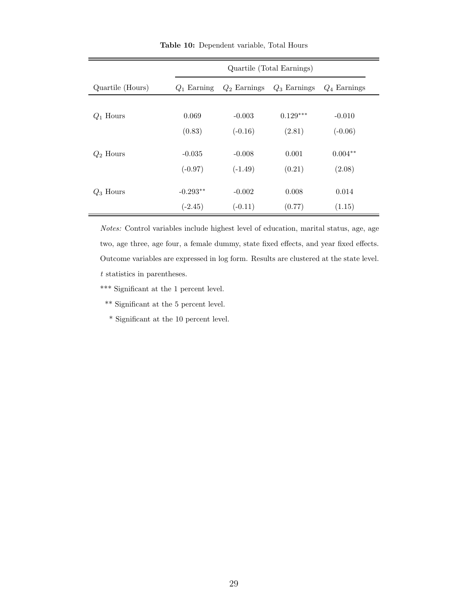<span id="page-29-0"></span>

|                  | Quartile (Total Earnings) |                |                |                |  |  |
|------------------|---------------------------|----------------|----------------|----------------|--|--|
| Quartile (Hours) | $Q_1$ Earning             | $Q_2$ Earnings | $Q_3$ Earnings | $Q_4$ Earnings |  |  |
|                  |                           |                |                |                |  |  |
| $Q_1$ Hours      | 0.069                     | $-0.003$       | $0.129***$     | $-0.010$       |  |  |
|                  | (0.83)                    | $(-0.16)$      | (2.81)         | $(-0.06)$      |  |  |
| $Q_2$ Hours      | $-0.035$                  | $-0.008$       | 0.001          | $0.004**$      |  |  |
|                  | $(-0.97)$                 | $(-1.49)$      | (0.21)         | (2.08)         |  |  |
|                  |                           |                |                |                |  |  |
| $Q_3$ Hours      | $-0.293**$                | $-0.002$       | 0.008          | 0.014          |  |  |
|                  | $(-2.45)$                 | $(-0.11)$      | (0.77)         | (1.15)         |  |  |

Table 10: Dependent variable, Total Hours

Notes: Control variables include highest level of education, marital status, age, age two, age three, age four, a female dummy, state fixed effects, and year fixed effects. Outcome variables are expressed in log form. Results are clustered at the state level. t statistics in parentheses.

\*\*\* Significant at the 1 percent level.

\*\* Significant at the 5 percent level.

\* Significant at the 10 percent level.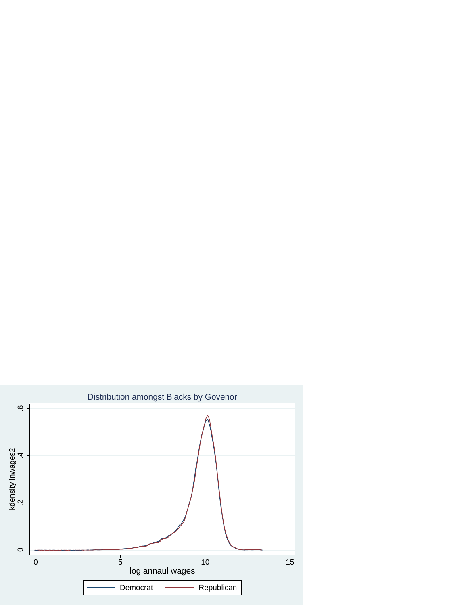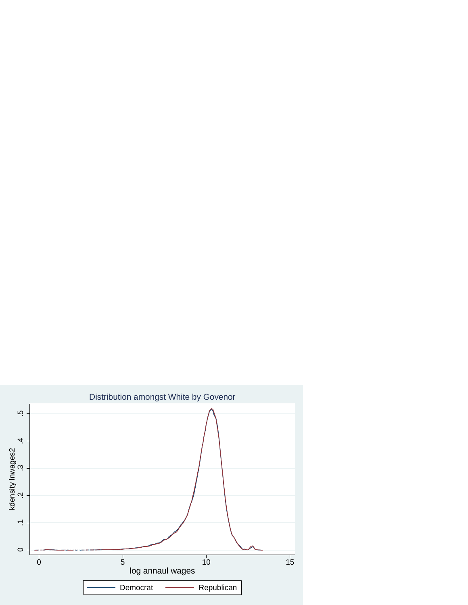